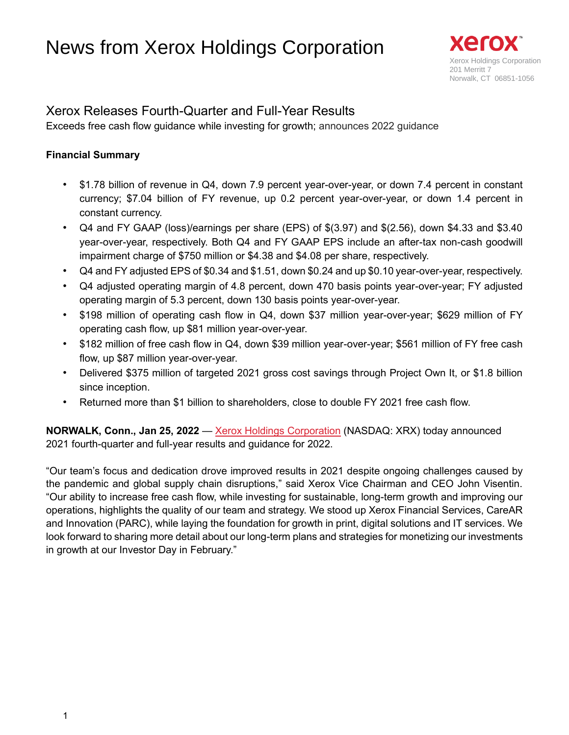

## Xerox Releases Fourth-Quarter and Full-Year Results

Exceeds free cash flow guidance while investing for growth; announces 2022 guidance

## **Financial Summary**

- \$1.78 billion of revenue in Q4, down 7.9 percent year-over-year, or down 7.4 percent in constant currency; \$7.04 billion of FY revenue, up 0.2 percent year-over-year, or down 1.4 percent in constant currency.
- Q4 and FY GAAP (loss)/earnings per share (EPS) of \$(3.97) and \$(2.56), down \$4.33 and \$3.40 year-over-year, respectively. Both Q4 and FY GAAP EPS include an after-tax non-cash goodwill impairment charge of \$750 million or \$4.38 and \$4.08 per share, respectively.
- Q4 and FY adjusted EPS of \$0.34 and \$1.51, down \$0.24 and up \$0.10 year-over-year, respectively.
- Q4 adjusted operating margin of 4.8 percent, down 470 basis points year-over-year; FY adjusted operating margin of 5.3 percent, down 130 basis points year-over-year.
- \$198 million of operating cash flow in Q4, down \$37 million year-over-year; \$629 million of FY operating cash flow, up \$81 million year-over-year.
- \$182 million of free cash flow in Q4, down \$39 million year-over-year; \$561 million of FY free cash flow, up \$87 million year-over-year.
- Delivered \$375 million of targeted 2021 gross cost savings through Project Own It, or \$1.8 billion since inception.
- Returned more than \$1 billion to shareholders, close to double FY 2021 free cash flow.

**NORWALK, Conn., Jan 25, 2022** — [Xerox Holdings Corporation](https://www.xerox.com/) (NASDAQ: XRX) today announced 2021 fourth-quarter and full-year results and guidance for 2022.

"Our team's focus and dedication drove improved results in 2021 despite ongoing challenges caused by the pandemic and global supply chain disruptions," said Xerox Vice Chairman and CEO John Visentin. "Our ability to increase free cash flow, while investing for sustainable, long-term growth and improving our operations, highlights the quality of our team and strategy. We stood up Xerox Financial Services, CareAR and Innovation (PARC), while laying the foundation for growth in print, digital solutions and IT services. We look forward to sharing more detail about our long-term plans and strategies for monetizing our investments in growth at our Investor Day in February."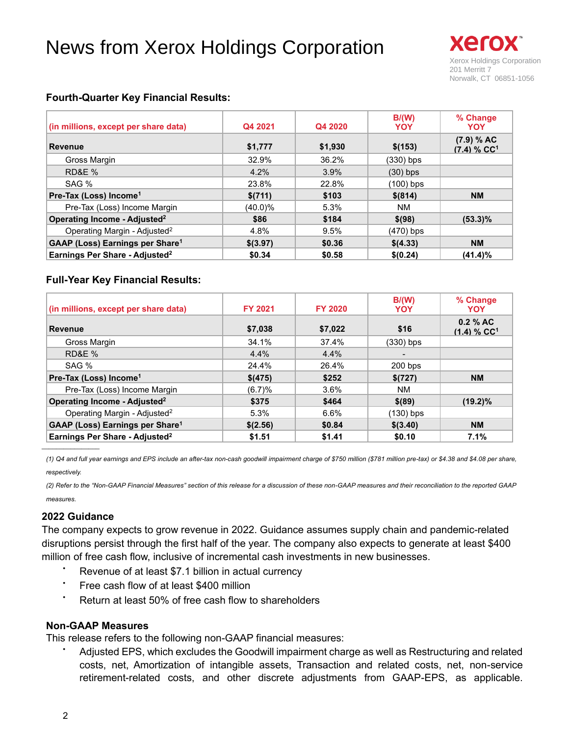

#### **(in millions, except per share data) Q4 2021 Q4 2020 B/(W) YOY % Change YOY Revenue \$1,777 \$1,930 \$(153) (7.9) % AC (7.4) % CC<sup>1</sup>** Gross Margin 32.9% 36.2% (330) bps RD&E % 4.2% 3.9% (30) bps SAG % 23.8% 22.8% (100) bps **Pre-Tax (Loss) Income<sup>1</sup> \$(711) \$103 \$(814) NM** Pre-Tax (Loss) Income Margin  $(40.0)$ % | 5.3% NM **Operating Income - Adjusted<sup>2</sup> \$86 \$184 \$(98) (53.3)%** Operating Margin - Adjusted<sup>2</sup> 4.8% 9.5% (470) bps **GAAP (Loss) Earnings per Share<sup>1</sup> \$(3.97) \$0.36 \$(4.33) NM Earnings Per Share - Adjusted<sup>2</sup> \$0.34 \$0.58 \$(0.24) (41.4)%**

## **Fourth-Quarter Key Financial Results:**

#### **Full-Year Key Financial Results:**

| (in millions, except per share data)              | FY 2021  | <b>FY 2020</b> | B/(W)<br><b>YOY</b> | % Change<br><b>YOY</b>                   |
|---------------------------------------------------|----------|----------------|---------------------|------------------------------------------|
| <b>Revenue</b>                                    | \$7,038  | \$7,022        | \$16                | $0.2 \% AC$<br>$(1.4)$ % CC <sup>1</sup> |
| Gross Margin                                      | 34.1%    | 37.4%          | $(330)$ bps         |                                          |
| <b>RD&amp;E</b> %                                 | 4.4%     | 4.4%           |                     |                                          |
| SAG %                                             | 24.4%    | 26.4%          | $200$ bps           |                                          |
| Pre-Tax (Loss) Income <sup>1</sup>                | \$(475)  | \$252          | \$(727)             | <b>NM</b>                                |
| Pre-Tax (Loss) Income Margin                      | (6.7)%   | $3.6\%$        | NM                  |                                          |
| Operating Income - Adjusted <sup>2</sup>          | \$375    | \$464          | \$ (89)             | $(19.2)\%$                               |
| Operating Margin - Adjusted <sup>2</sup>          | 5.3%     | 6.6%           | $(130)$ bps         |                                          |
| <b>GAAP (Loss) Earnings per Share<sup>1</sup></b> | \$(2.56) | \$0.84         | \$(3.40)            | <b>NM</b>                                |
| Earnings Per Share - Adjusted <sup>2</sup>        | \$1.51   | \$1.41         | \$0.10              | 7.1%                                     |

*(1) Q4 and full year earnings and EPS include an after-tax non-cash goodwill impairment charge of \$750 million (\$781 million pre-tax) or \$4.38 and \$4.08 per share, respectively.* 

*(2) Refer to the "Non-GAAP Financial Measures" section of this release for a discussion of these non-GAAP measures and their reconciliation to the reported GAAP measures.* 

#### **2022 Guidance**

The company expects to grow revenue in 2022. Guidance assumes supply chain and pandemic-related disruptions persist through the first half of the year. The company also expects to generate at least \$400 million of free cash flow, inclusive of incremental cash investments in new businesses.

- Revenue of at least \$7.1 billion in actual currency
- Free cash flow of at least \$400 million
- Return at least 50% of free cash flow to shareholders

#### **Non-GAAP Measures**

This release refers to the following non-GAAP financial measures:

• Adjusted EPS, which excludes the Goodwill impairment charge as well as Restructuring and related costs, net, Amortization of intangible assets, Transaction and related costs, net, non-service retirement-related costs, and other discrete adjustments from GAAP-EPS, as applicable.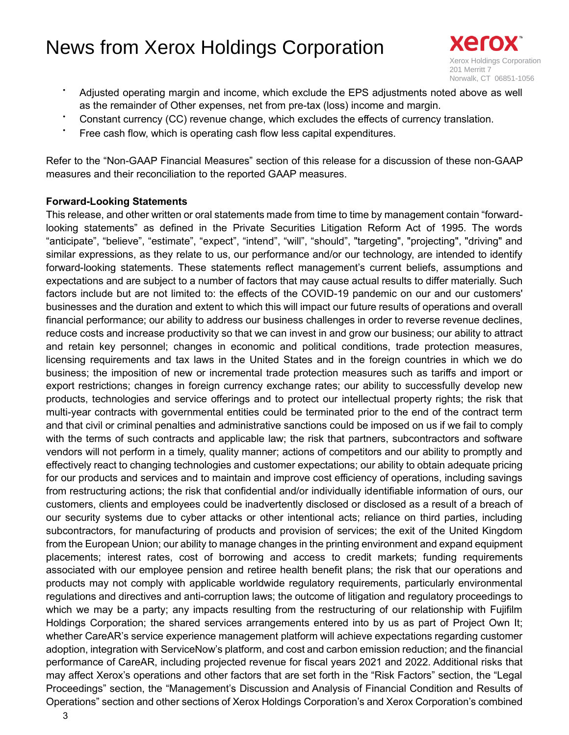

- Adjusted operating margin and income, which exclude the EPS adjustments noted above as well as the remainder of Other expenses, net from pre-tax (loss) income and margin.
- Constant currency (CC) revenue change, which excludes the effects of currency translation.
- Free cash flow, which is operating cash flow less capital expenditures.

Refer to the "Non-GAAP Financial Measures" section of this release for a discussion of these non-GAAP measures and their reconciliation to the reported GAAP measures.

## **Forward-Looking Statements**

This release, and other written or oral statements made from time to time by management contain "forwardlooking statements" as defined in the Private Securities Litigation Reform Act of 1995. The words "anticipate", "believe", "estimate", "expect", "intend", "will", "should", "targeting", "projecting", "driving" and similar expressions, as they relate to us, our performance and/or our technology, are intended to identify forward-looking statements. These statements reflect management's current beliefs, assumptions and expectations and are subject to a number of factors that may cause actual results to differ materially. Such factors include but are not limited to: the effects of the COVID-19 pandemic on our and our customers' businesses and the duration and extent to which this will impact our future results of operations and overall financial performance; our ability to address our business challenges in order to reverse revenue declines, reduce costs and increase productivity so that we can invest in and grow our business; our ability to attract and retain key personnel; changes in economic and political conditions, trade protection measures, licensing requirements and tax laws in the United States and in the foreign countries in which we do business; the imposition of new or incremental trade protection measures such as tariffs and import or export restrictions; changes in foreign currency exchange rates; our ability to successfully develop new products, technologies and service offerings and to protect our intellectual property rights; the risk that multi-year contracts with governmental entities could be terminated prior to the end of the contract term and that civil or criminal penalties and administrative sanctions could be imposed on us if we fail to comply with the terms of such contracts and applicable law; the risk that partners, subcontractors and software vendors will not perform in a timely, quality manner; actions of competitors and our ability to promptly and effectively react to changing technologies and customer expectations; our ability to obtain adequate pricing for our products and services and to maintain and improve cost efficiency of operations, including savings from restructuring actions; the risk that confidential and/or individually identifiable information of ours, our customers, clients and employees could be inadvertently disclosed or disclosed as a result of a breach of our security systems due to cyber attacks or other intentional acts; reliance on third parties, including subcontractors, for manufacturing of products and provision of services; the exit of the United Kingdom from the European Union; our ability to manage changes in the printing environment and expand equipment placements; interest rates, cost of borrowing and access to credit markets; funding requirements associated with our employee pension and retiree health benefit plans; the risk that our operations and products may not comply with applicable worldwide regulatory requirements, particularly environmental regulations and directives and anti-corruption laws; the outcome of litigation and regulatory proceedings to which we may be a party; any impacts resulting from the restructuring of our relationship with Fujifilm Holdings Corporation; the shared services arrangements entered into by us as part of Project Own It; whether CareAR's service experience management platform will achieve expectations regarding customer adoption, integration with ServiceNow's platform, and cost and carbon emission reduction; and the financial performance of CareAR, including projected revenue for fiscal years 2021 and 2022. Additional risks that may affect Xerox's operations and other factors that are set forth in the "Risk Factors" section, the "Legal Proceedings" section, the "Management's Discussion and Analysis of Financial Condition and Results of Operations" section and other sections of Xerox Holdings Corporation's and Xerox Corporation's combined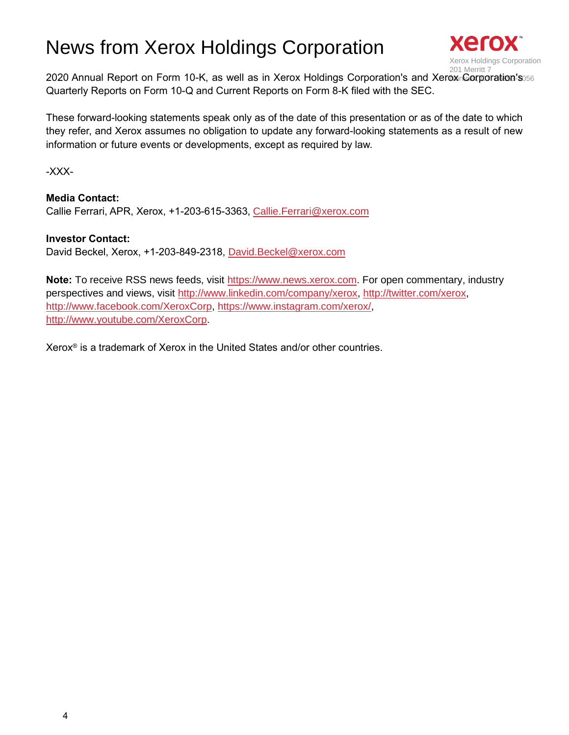

2020 Annual Report on Form 10-K, as well as in Xerox Holdings Corporation's and Xerox Corporation's 356 Quarterly Reports on Form 10-Q and Current Reports on Form 8-K filed with the SEC.

These forward-looking statements speak only as of the date of this presentation or as of the date to which they refer, and Xerox assumes no obligation to update any forward-looking statements as a result of new information or future events or developments, except as required by law.

-XXX-

**Media Contact:** Callie Ferrari, APR, Xerox, +1-203-615-3363, Callie. Ferrari@xerox.com

## **Investor Contact:**

David Beckel, Xerox, +1-203-849-2318, [David.Beckel@xerox.com](mailto:David.Beckel@xerox.com)

**Note:** To receive RSS news feeds, visit [https://www.news.xerox.com.](https://www.news.xerox.com/) For open commentary, industry perspectives and views, visit [http://www.linkedin.com/company/xerox,](http://www.linkedin.com/company/xerox) [http://twitter.com/xerox,](http://twitter.com/xerox) [http://www.facebook.com/XeroxCorp,](http://www.facebook.com/XeroxCorp) [https://www.instagram.com/xerox/,](https://www.instagram.com/xerox/) [http://www.youtube.com/XeroxCorp.](http://www.youtube.com/XeroxCorp)

Xerox® is a trademark of Xerox in the United States and/or other countries.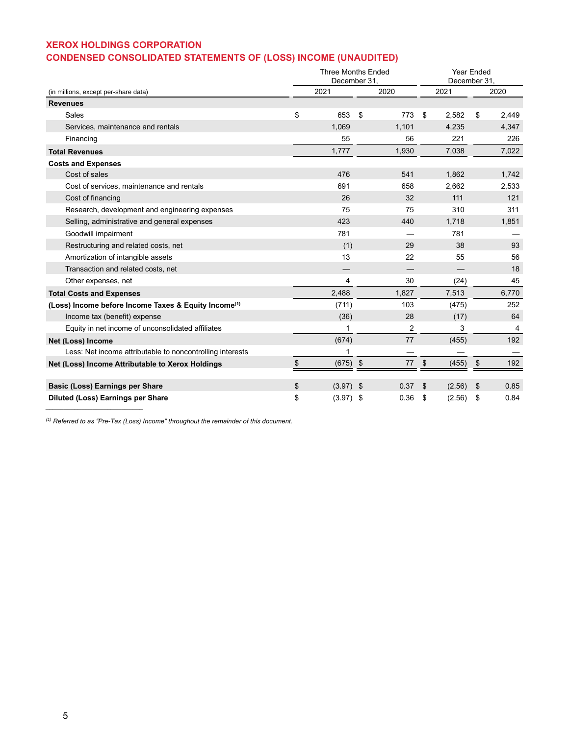## **XEROX HOLDINGS CORPORATION CONDENSED CONSOLIDATED STATEMENTS OF (LOSS) INCOME (UNAUDITED)**

|                                                                  | December 31  | <b>Three Months Ended</b> | Year Ended<br>December 31 |                           |       |  |  |  |
|------------------------------------------------------------------|--------------|---------------------------|---------------------------|---------------------------|-------|--|--|--|
| (in millions, except per-share data)                             | 2021         | 2020                      | 2021                      |                           | 2020  |  |  |  |
| <b>Revenues</b>                                                  |              |                           |                           |                           |       |  |  |  |
| Sales                                                            | \$<br>653    | \$<br>773                 | \$<br>2,582               | \$                        | 2,449 |  |  |  |
| Services, maintenance and rentals                                | 1.069        | 1,101                     | 4,235                     |                           | 4,347 |  |  |  |
| Financing                                                        | 55           | 56                        | 221                       |                           | 226   |  |  |  |
| <b>Total Revenues</b>                                            | 1,777        | 1,930                     | 7,038                     |                           | 7,022 |  |  |  |
| <b>Costs and Expenses</b>                                        |              |                           |                           |                           |       |  |  |  |
| Cost of sales                                                    | 476          | 541                       | 1.862                     |                           | 1.742 |  |  |  |
| Cost of services, maintenance and rentals                        | 691          | 658                       | 2,662                     |                           | 2,533 |  |  |  |
| Cost of financing                                                | 26           | 32                        | 111                       |                           | 121   |  |  |  |
| Research, development and engineering expenses                   | 75           | 75                        | 310                       |                           | 311   |  |  |  |
| Selling, administrative and general expenses                     | 423          | 440                       | 1,718                     |                           | 1,851 |  |  |  |
| Goodwill impairment                                              | 781          |                           | 781                       |                           |       |  |  |  |
| Restructuring and related costs, net                             | (1)          | 29                        | 38                        |                           | 93    |  |  |  |
| Amortization of intangible assets                                | 13           | 22                        | 55                        |                           | 56    |  |  |  |
| Transaction and related costs, net                               |              |                           |                           |                           | 18    |  |  |  |
| Other expenses, net                                              | 4            | 30                        | (24)                      |                           | 45    |  |  |  |
| <b>Total Costs and Expenses</b>                                  | 2,488        | 1,827                     | 7,513                     |                           | 6,770 |  |  |  |
| (Loss) Income before Income Taxes & Equity Income <sup>(1)</sup> | (711)        | 103                       | (475)                     |                           | 252   |  |  |  |
| Income tax (benefit) expense                                     | (36)         | 28                        | (17)                      |                           | 64    |  |  |  |
| Equity in net income of unconsolidated affiliates                | 1            | 2                         | 3                         |                           | 4     |  |  |  |
| Net (Loss) Income                                                | (674)        | 77                        | (455)                     |                           | 192   |  |  |  |
| Less: Net income attributable to noncontrolling interests        | 1            |                           |                           |                           |       |  |  |  |
| Net (Loss) Income Attributable to Xerox Holdings                 | \$<br>(675)  | \$<br>77                  | \$<br>(455)               | $\boldsymbol{\mathsf{s}}$ | 192   |  |  |  |
| <b>Basic (Loss) Earnings per Share</b>                           | \$<br>(3.97) | 0.37<br>\$                | \$<br>(2.56)              | \$                        | 0.85  |  |  |  |
| Diluted (Loss) Earnings per Share                                | \$<br>(3.97) | 0.36<br>\$                | \$<br>(2.56)              | \$                        | 0.84  |  |  |  |

*(1) Referred to as "Pre-Tax (Loss) Income" throughout the remainder of this document.*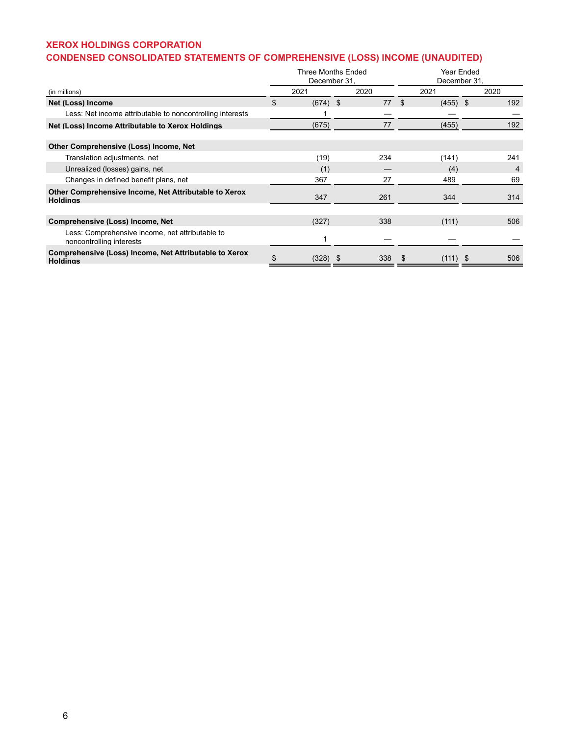## **XEROX HOLDINGS CORPORATION**

## **CONDENSED CONSOLIDATED STATEMENTS OF COMPREHENSIVE (LOSS) INCOME (UNAUDITED)**

|                                                                             | <b>Three Months Ended</b><br>December 31, |             |    | Year Ended<br>December 31, |      |      |  |  |  |
|-----------------------------------------------------------------------------|-------------------------------------------|-------------|----|----------------------------|------|------|--|--|--|
| (in millions)                                                               | 2021                                      | 2020        |    | 2021                       |      | 2020 |  |  |  |
| Net (Loss) Income                                                           | \$<br>$(674)$ \$                          | 77          | Ĵ. | $(455)$ \$                 |      | 192  |  |  |  |
| Less: Net income attributable to noncontrolling interests                   |                                           |             |    |                            |      |      |  |  |  |
| Net (Loss) Income Attributable to Xerox Holdings                            | (675)                                     | 77          |    | (455)                      |      | 192  |  |  |  |
| Other Comprehensive (Loss) Income, Net                                      |                                           |             |    |                            |      |      |  |  |  |
| Translation adjustments, net                                                | (19)                                      | 234         |    | (141)                      |      | 241  |  |  |  |
| Unrealized (losses) gains, net                                              | (1)                                       |             |    | (4)                        |      | 4    |  |  |  |
| Changes in defined benefit plans, net                                       | 367                                       | 27          |    | 489                        |      | 69   |  |  |  |
| Other Comprehensive Income, Net Attributable to Xerox<br><b>Holdings</b>    | 347                                       | 261         |    | 344                        |      | 314  |  |  |  |
|                                                                             |                                           |             |    |                            |      |      |  |  |  |
| <b>Comprehensive (Loss) Income, Net</b>                                     | (327)                                     | 338         |    | (111)                      |      | 506  |  |  |  |
| Less: Comprehensive income, net attributable to<br>noncontrolling interests |                                           |             |    |                            |      |      |  |  |  |
| Comprehensive (Loss) Income, Net Attributable to Xerox<br><b>Holdings</b>   | (328)                                     | 338<br>- \$ |    | (111)<br>S                 | - \$ | 506  |  |  |  |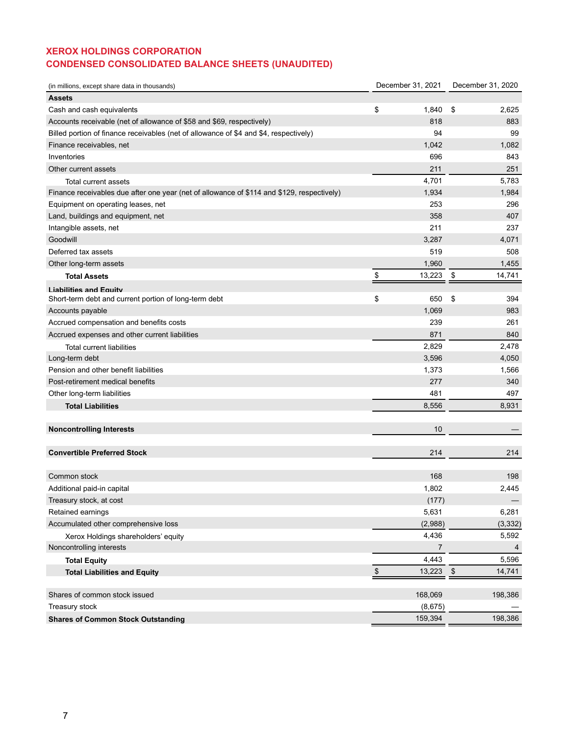## **XEROX HOLDINGS CORPORATION CONDENSED CONSOLIDATED BALANCE SHEETS (UNAUDITED)**

| (in millions, except share data in thousands)                                              | December 31, 2021 | December 31, 2020 |
|--------------------------------------------------------------------------------------------|-------------------|-------------------|
| <b>Assets</b>                                                                              |                   |                   |
| Cash and cash equivalents                                                                  | \$<br>1,840       | \$<br>2,625       |
| Accounts receivable (net of allowance of \$58 and \$69, respectively)                      | 818               | 883               |
| Billed portion of finance receivables (net of allowance of \$4 and \$4, respectively)      | 94                | 99                |
| Finance receivables, net                                                                   | 1,042             | 1,082             |
| Inventories                                                                                | 696               | 843               |
| Other current assets                                                                       | 211               | 251               |
| Total current assets                                                                       | 4,701             | 5,783             |
| Finance receivables due after one year (net of allowance of \$114 and \$129, respectively) | 1,934             | 1,984             |
| Equipment on operating leases, net                                                         | 253               | 296               |
| Land, buildings and equipment, net                                                         | 358               | 407               |
| Intangible assets, net                                                                     | 211               | 237               |
| Goodwill                                                                                   | 3,287             | 4,071             |
| Deferred tax assets                                                                        | 519               | 508               |
| Other long-term assets                                                                     | 1,960             | 1,455             |
| <b>Total Assets</b>                                                                        | \$<br>13,223      | \$<br>14,741      |
| <b>Liabilities and Equity</b>                                                              |                   |                   |
| Short-term debt and current portion of long-term debt                                      | \$<br>650         | \$<br>394         |
| Accounts payable                                                                           | 1,069             | 983               |
| Accrued compensation and benefits costs                                                    | 239               | 261               |
| Accrued expenses and other current liabilities                                             | 871               | 840               |
| <b>Total current liabilities</b>                                                           | 2,829             | 2,478             |
| Long-term debt                                                                             | 3,596             | 4,050             |
| Pension and other benefit liabilities                                                      | 1,373             | 1,566             |
| Post-retirement medical benefits                                                           | 277               | 340               |
| Other long-term liabilities                                                                | 481               | 497               |
| <b>Total Liabilities</b>                                                                   | 8,556             | 8,931             |
|                                                                                            |                   |                   |
| <b>Noncontrolling Interests</b>                                                            | 10                |                   |
|                                                                                            |                   |                   |
| <b>Convertible Preferred Stock</b>                                                         | 214               | 214               |
|                                                                                            |                   |                   |
| Common stock                                                                               | 168               | 198               |
| Additional paid-in capital                                                                 | 1,802             | 2,445             |
| Treasury stock, at cost                                                                    | (177)             |                   |
| Retained earnings                                                                          | 5,631             | 6,281             |
| Accumulated other comprehensive loss                                                       | (2,988)           | (3, 332)          |
| Xerox Holdings shareholders' equity                                                        | 4,436             | 5,592             |
| Noncontrolling interests                                                                   | 7                 | 4                 |
| <b>Total Equity</b>                                                                        | 4,443             | 5,596             |
| <b>Total Liabilities and Equity</b>                                                        | \$<br>13,223      | \$<br>14,741      |
|                                                                                            |                   |                   |
| Shares of common stock issued                                                              | 168,069           | 198,386           |
| Treasury stock                                                                             | (8,675)           |                   |
| <b>Shares of Common Stock Outstanding</b>                                                  | 159,394           | 198,386           |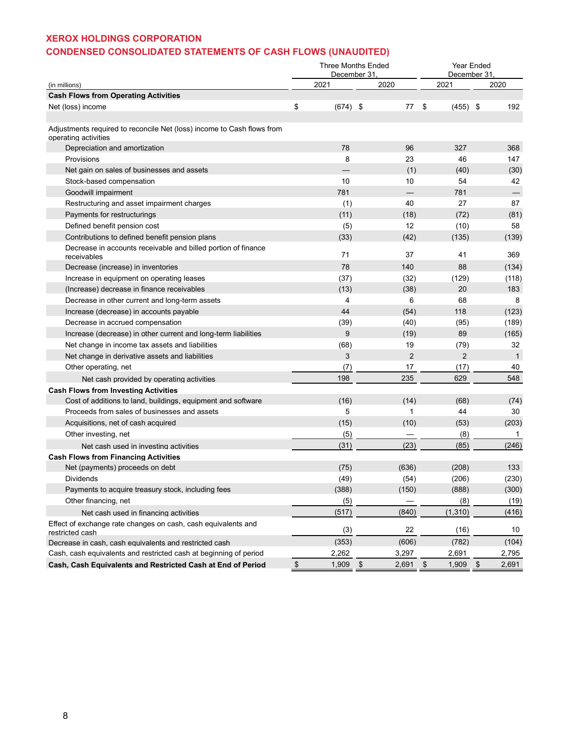## **XEROX HOLDINGS CORPORATION CONDENSED CONSOLIDATED STATEMENTS OF CASH FLOWS (UNAUDITED)**

|                                                                                                |      | December 31 | <b>Three Months Ended</b> | <b>Year Ended</b><br>December 31 |              |  |  |
|------------------------------------------------------------------------------------------------|------|-------------|---------------------------|----------------------------------|--------------|--|--|
| (in millions)                                                                                  |      | 2021        | 2020                      | 2021                             | 2020         |  |  |
| <b>Cash Flows from Operating Activities</b>                                                    |      |             |                           |                                  |              |  |  |
| Net (loss) income                                                                              | \$   | $(674)$ \$  | 77                        | \$<br>$(455)$ \$                 | 192          |  |  |
| Adjustments required to reconcile Net (loss) income to Cash flows from<br>operating activities |      |             |                           |                                  |              |  |  |
| Depreciation and amortization                                                                  |      | 78          | 96                        | 327                              | 368          |  |  |
| Provisions                                                                                     |      | 8           | 23                        | 46                               | 147          |  |  |
| Net gain on sales of businesses and assets                                                     |      |             | (1)                       | (40)                             | (30)         |  |  |
| Stock-based compensation                                                                       |      | 10          | 10                        | 54                               | 42           |  |  |
| Goodwill impairment                                                                            |      | 781         |                           | 781                              |              |  |  |
| Restructuring and asset impairment charges                                                     |      | (1)         | 40                        | 27                               | 87           |  |  |
| Payments for restructurings                                                                    |      | (11)        | (18)                      | (72)                             | (81)         |  |  |
| Defined benefit pension cost                                                                   |      | (5)         | 12                        | (10)                             | 58           |  |  |
| Contributions to defined benefit pension plans                                                 |      | (33)        | (42)                      | (135)                            | (139)        |  |  |
| Decrease in accounts receivable and billed portion of finance<br>receivables                   |      | 71          | 37                        | 41                               | 369          |  |  |
| Decrease (increase) in inventories                                                             |      | 78          | 140                       | 88                               | (134)        |  |  |
| Increase in equipment on operating leases                                                      |      | (37)        | (32)                      | (129)                            | (118)        |  |  |
| (Increase) decrease in finance receivables                                                     |      | (13)        | (38)                      | 20                               | 183          |  |  |
| Decrease in other current and long-term assets                                                 |      | 4           | 6                         | 68                               | 8            |  |  |
| Increase (decrease) in accounts payable                                                        |      | 44          | (54)                      | 118                              | (123)        |  |  |
| Decrease in accrued compensation                                                               |      | (39)        | (40)                      | (95)                             | (189)        |  |  |
| Increase (decrease) in other current and long-term liabilities                                 |      | 9           | (19)                      | 89                               | (165)        |  |  |
| Net change in income tax assets and liabilities                                                |      | (68)        | 19                        | (79)                             | 32           |  |  |
| Net change in derivative assets and liabilities                                                |      | 3           | $\overline{2}$            | 2                                | $\mathbf{1}$ |  |  |
| Other operating, net                                                                           |      | (7)         | 17                        | (17)                             | 40           |  |  |
| Net cash provided by operating activities                                                      |      | 198         | 235                       | 629                              | 548          |  |  |
| <b>Cash Flows from Investing Activities</b>                                                    |      |             |                           |                                  |              |  |  |
| Cost of additions to land, buildings, equipment and software                                   |      | (16)        | (14)                      | (68)                             | (74)         |  |  |
| Proceeds from sales of businesses and assets                                                   |      | 5           | $\mathbf{1}$              | 44                               | 30           |  |  |
| Acquisitions, net of cash acquired                                                             |      | (15)        | (10)                      | (53)                             | (203)        |  |  |
| Other investing, net                                                                           |      | (5)         |                           | (8)                              | -1           |  |  |
| Net cash used in investing activities                                                          |      | (31)        | (23)                      | (85)                             | (246)        |  |  |
| <b>Cash Flows from Financing Activities</b>                                                    |      |             |                           |                                  |              |  |  |
| Net (payments) proceeds on debt                                                                |      | (75)        | (636)                     | (208)                            | 133          |  |  |
| Dividends                                                                                      |      | (49)        | (54)                      | (206)                            | (230)        |  |  |
| Payments to acquire treasury stock, including fees                                             |      | (388)       | (150)                     | (888)                            | (300)        |  |  |
| Other financing, net                                                                           |      | (5)         |                           | (8)                              | (19)         |  |  |
| Net cash used in financing activities                                                          |      | (517)       | (840)                     | (1, 310)                         | (416)        |  |  |
| Effect of exchange rate changes on cash, cash equivalents and                                  |      |             |                           |                                  |              |  |  |
| restricted cash                                                                                |      | (3)         | 22                        | (16)                             | 10           |  |  |
| Decrease in cash, cash equivalents and restricted cash                                         |      | (353)       | (606)                     | (782)                            | (104)        |  |  |
| Cash, cash equivalents and restricted cash at beginning of period                              |      | 2,262       | 3,297                     | 2,691                            | 2,795        |  |  |
| Cash, Cash Equivalents and Restricted Cash at End of Period                                    | $\,$ | 1,909 \$    | 2,691                     | $1,909$ \$<br>$\sqrt{3}$         | 2,691        |  |  |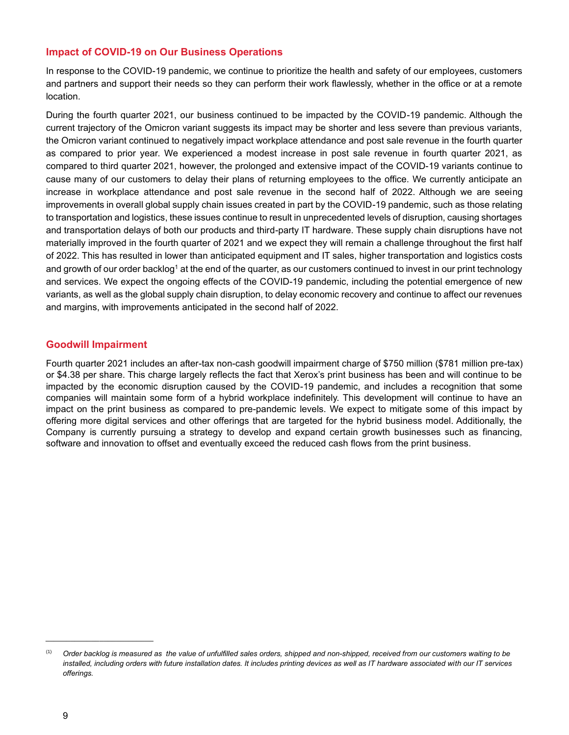## **Impact of COVID-19 on Our Business Operations**

In response to the COVID-19 pandemic, we continue to prioritize the health and safety of our employees, customers and partners and support their needs so they can perform their work flawlessly, whether in the office or at a remote location.

During the fourth quarter 2021, our business continued to be impacted by the COVID-19 pandemic. Although the current trajectory of the Omicron variant suggests its impact may be shorter and less severe than previous variants, the Omicron variant continued to negatively impact workplace attendance and post sale revenue in the fourth quarter as compared to prior year. We experienced a modest increase in post sale revenue in fourth quarter 2021, as compared to third quarter 2021, however, the prolonged and extensive impact of the COVID-19 variants continue to cause many of our customers to delay their plans of returning employees to the office. We currently anticipate an increase in workplace attendance and post sale revenue in the second half of 2022. Although we are seeing improvements in overall global supply chain issues created in part by the COVID-19 pandemic, such as those relating to transportation and logistics, these issues continue to result in unprecedented levels of disruption, causing shortages and transportation delays of both our products and third-party IT hardware. These supply chain disruptions have not materially improved in the fourth quarter of 2021 and we expect they will remain a challenge throughout the first half of 2022. This has resulted in lower than anticipated equipment and IT sales, higher transportation and logistics costs and growth of our order backlog<sup>1</sup> at the end of the quarter, as our customers continued to invest in our print technology and services. We expect the ongoing effects of the COVID-19 pandemic, including the potential emergence of new variants, as well as the global supply chain disruption, to delay economic recovery and continue to affect our revenues and margins, with improvements anticipated in the second half of 2022.

### **Goodwill Impairment**

Fourth quarter 2021 includes an after-tax non-cash goodwill impairment charge of \$750 million (\$781 million pre-tax) or \$4.38 per share. This charge largely reflects the fact that Xerox's print business has been and will continue to be impacted by the economic disruption caused by the COVID-19 pandemic, and includes a recognition that some companies will maintain some form of a hybrid workplace indefinitely. This development will continue to have an impact on the print business as compared to pre-pandemic levels. We expect to mitigate some of this impact by offering more digital services and other offerings that are targeted for the hybrid business model. Additionally, the Company is currently pursuing a strategy to develop and expand certain growth businesses such as financing, software and innovation to offset and eventually exceed the reduced cash flows from the print business.

*\_\_\_\_\_\_\_\_\_\_\_\_\_*\_\_\_\_\_\_\_\_\_\_\_\_\_

<sup>(1)</sup> *Order backlog is measured as the value of unfulfilled sales orders, shipped and non-shipped, received from our customers waiting to be installed, including orders with future installation dates. It includes printing devices as well as IT hardware associated with our IT services offerings.*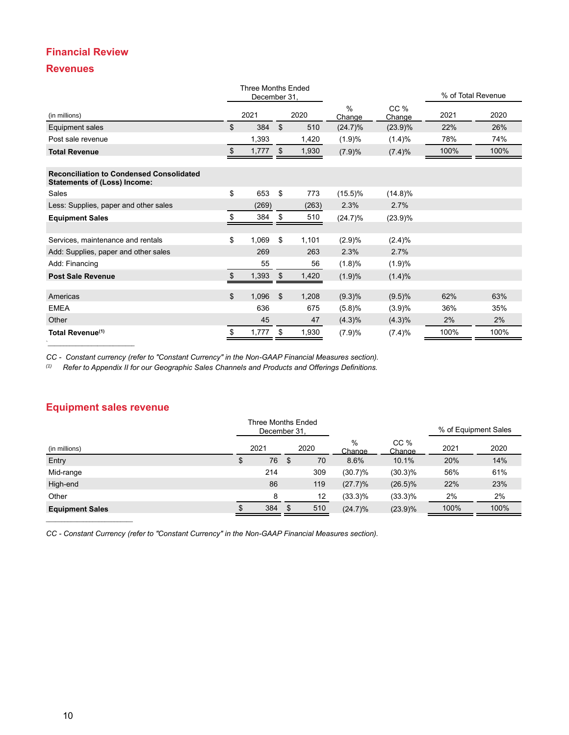## **Financial Review**

## **Revenues**

|                                                                                        |    | <b>Three Months Ended</b><br>December 31, |                |       |                |                  | % of Total Revenue |      |  |
|----------------------------------------------------------------------------------------|----|-------------------------------------------|----------------|-------|----------------|------------------|--------------------|------|--|
| (in millions)                                                                          |    | 2021                                      |                | 2020  | $\%$<br>Change | $CC\%$<br>Change | 2021               | 2020 |  |
| Equipment sales                                                                        | \$ | 384                                       | $\mathfrak{S}$ | 510   | $(24.7)\%$     | $(23.9)\%$       | 22%                | 26%  |  |
| Post sale revenue                                                                      |    | 1,393                                     |                | 1,420 | (1.9)%         | (1.4)%           | 78%                | 74%  |  |
| <b>Total Revenue</b>                                                                   |    | 1,777                                     | -\$            | 1,930 | (7.9)%         | (7.4)%           | 100%               | 100% |  |
| <b>Reconciliation to Condensed Consolidated</b><br><b>Statements of (Loss) Income:</b> |    |                                           |                |       |                |                  |                    |      |  |
| Sales                                                                                  | \$ | 653                                       | \$             | 773   | $(15.5)\%$     | $(14.8)\%$       |                    |      |  |
| Less: Supplies, paper and other sales                                                  |    | (269)                                     |                | (263) | 2.3%           | 2.7%             |                    |      |  |
| <b>Equipment Sales</b>                                                                 | \$ | 384                                       | -\$            | 510   | $(24.7)\%$     | (23.9)%          |                    |      |  |
|                                                                                        |    |                                           |                |       |                |                  |                    |      |  |
| Services, maintenance and rentals                                                      | \$ | 1,069                                     | \$             | 1,101 | (2.9)%         | (2.4)%           |                    |      |  |
| Add: Supplies, paper and other sales                                                   |    | 269                                       |                | 263   | 2.3%           | 2.7%             |                    |      |  |
| Add: Financing                                                                         |    | 55                                        |                | 56    | (1.8)%         | (1.9)%           |                    |      |  |
| <b>Post Sale Revenue</b>                                                               | S  | 1,393                                     | \$             | 1,420 | (1.9)%         | (1.4)%           |                    |      |  |
| Americas                                                                               | \$ | 1,096                                     | -\$            | 1,208 | (9.3)%         | (9.5)%           | 62%                | 63%  |  |
| <b>EMEA</b>                                                                            |    | 636                                       |                | 675   | (5.8)%         | (3.9)%           | 36%                | 35%  |  |
| Other                                                                                  |    | 45                                        |                | 47    | (4.3)%         | (4.3)%           | 2%                 | 2%   |  |
| Total Revenue <sup>(1)</sup>                                                           | \$ | 1,777                                     | \$             | 1,930 | (7.9)%         | (7.4)%           | 100%               | 100% |  |

*CC - Constant currency (refer to "Constant Currency" in the Non-GAAP Financial Measures section).*

*(1) Refer to Appendix II for our Geographic Sales Channels and Products and Offerings Definitions.*

## **Equipment sales revenue**

`\_\_\_\_\_\_\_\_\_\_\_\_\_\_\_\_\_\_\_\_\_\_\_\_\_\_\_\_

\_\_\_\_\_\_\_\_\_\_\_\_\_\_\_\_\_\_\_\_\_\_\_\_\_\_\_\_

|                        | <b>Three Months Ended</b><br>December 31, |           |             |                | % of Equipment Sales |      |
|------------------------|-------------------------------------------|-----------|-------------|----------------|----------------------|------|
| (in millions)          | 2021                                      | 2020      | %<br>Change | CC %<br>Change | 2021                 | 2020 |
| Entry                  | \$<br>76                                  | \$<br>70  | 8.6%        | 10.1%          | 20%                  | 14%  |
| Mid-range              | 214                                       | 309       | (30.7)%     | (30.3)%        | 56%                  | 61%  |
| High-end               | 86                                        | 119       | $(27.7)\%$  | $(26.5)\%$     | 22%                  | 23%  |
| Other                  | 8                                         | 12        | $(33.3)\%$  | (33.3)%        | 2%                   | 2%   |
| <b>Equipment Sales</b> | \$<br>384                                 | \$<br>510 | $(24.7)\%$  | $(23.9)\%$     | 100%                 | 100% |

*CC - Constant Currency (refer to "Constant Currency" in the Non-GAAP Financial Measures section).*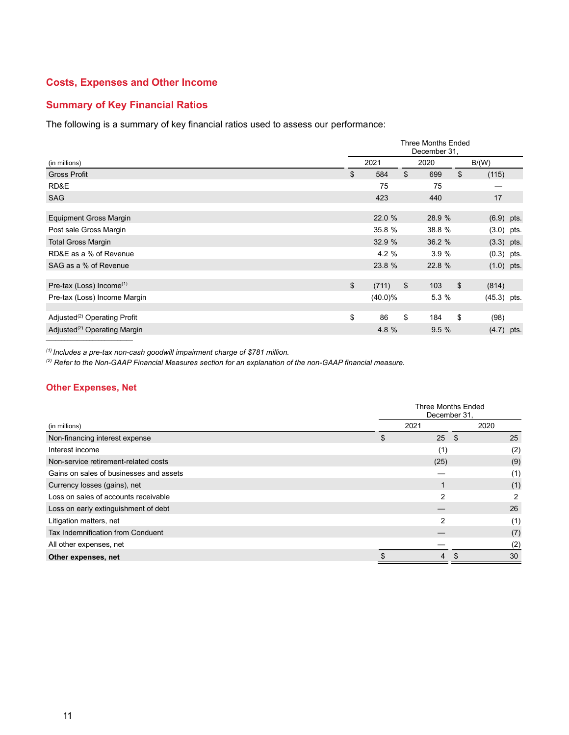## **Costs, Expenses and Other Income**

## **Summary of Key Financial Ratios**

The following is a summary of key financial ratios used to assess our performance:

|                                          |             | <b>Three Months Ended</b><br>December 31, |       |               |      |
|------------------------------------------|-------------|-------------------------------------------|-------|---------------|------|
| (in millions)                            | 2021        | 2020                                      | B/(W) |               |      |
| <b>Gross Profit</b>                      | \$<br>584   | \$<br>699                                 | \$    | (115)         |      |
| RD&E                                     | 75          | 75                                        |       |               |      |
| <b>SAG</b>                               | 423         | 440                                       |       | 17            |      |
|                                          |             |                                           |       |               |      |
| <b>Equipment Gross Margin</b>            | 22.0 %      | 28.9 %                                    |       | $(6.9)$ pts.  |      |
| Post sale Gross Margin                   | 35.8 %      | 38.8 %                                    |       | (3.0)         | pts. |
| <b>Total Gross Margin</b>                | 32.9 %      | 36.2 %                                    |       | $(3.3)$ pts.  |      |
| RD&E as a % of Revenue                   | 4.2 %       | 3.9%                                      |       | $(0.3)$ pts.  |      |
| SAG as a % of Revenue                    | 23.8 %      | 22.8 %                                    |       | $(1.0)$ pts.  |      |
|                                          |             |                                           |       |               |      |
| Pre-tax (Loss) Income <sup>(1)</sup>     | \$<br>(711) | \$<br>103                                 | \$    | (814)         |      |
| Pre-tax (Loss) Income Margin             | $(40.0)\%$  | 5.3 %                                     |       | $(45.3)$ pts. |      |
|                                          |             |                                           |       |               |      |
| Adjusted <sup>(2)</sup> Operating Profit | \$<br>86    | \$<br>184                                 | \$    | (98)          |      |
| Adjusted <sup>(2)</sup> Operating Margin | 4.8 %       | 9.5%                                      |       | (4.7)         | pts. |
|                                          |             |                                           |       |               |      |

*(1) Includes a pre-tax non-cash goodwill impairment charge of \$781 million.* 

*(2) Refer to the Non-GAAP Financial Measures section for an explanation of the non-GAAP financial measure.* 

### **Other Expenses, Net**

|                                         | <b>Three Months Ended</b><br>December 31. |           |      |  |  |  |  |  |  |
|-----------------------------------------|-------------------------------------------|-----------|------|--|--|--|--|--|--|
| (in millions)                           | 2021                                      |           | 2020 |  |  |  |  |  |  |
| Non-financing interest expense          | SS                                        | 25<br>-\$ | 25   |  |  |  |  |  |  |
| Interest income                         |                                           | (1)       | (2)  |  |  |  |  |  |  |
| Non-service retirement-related costs    |                                           | (25)      | (9)  |  |  |  |  |  |  |
| Gains on sales of businesses and assets |                                           |           | (1)  |  |  |  |  |  |  |
| Currency losses (gains), net            |                                           |           | (1)  |  |  |  |  |  |  |
| Loss on sales of accounts receivable    |                                           | 2         | 2    |  |  |  |  |  |  |
| Loss on early extinguishment of debt    |                                           |           | 26   |  |  |  |  |  |  |
| Litigation matters, net                 |                                           | 2         | (1)  |  |  |  |  |  |  |
| Tax Indemnification from Conduent       |                                           |           | (7)  |  |  |  |  |  |  |
| All other expenses, net                 |                                           |           | (2)  |  |  |  |  |  |  |
| Other expenses, net                     |                                           | 4         | 30   |  |  |  |  |  |  |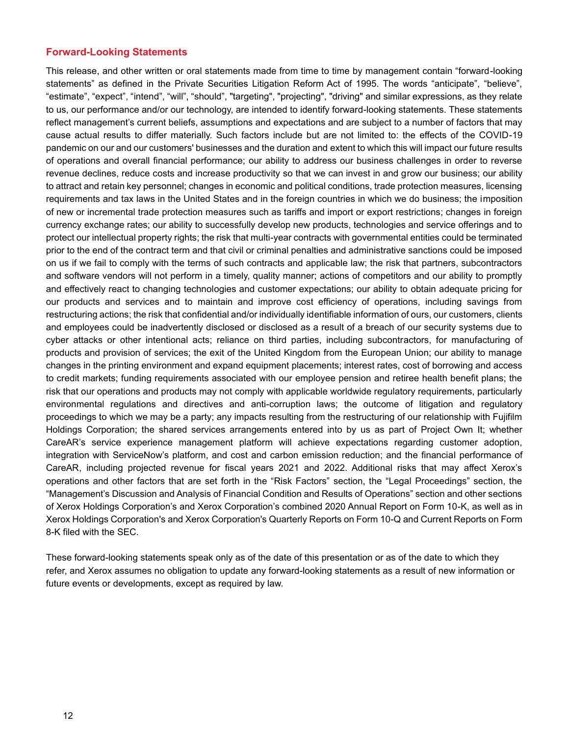#### **Forward-Looking Statements**

This release, and other written or oral statements made from time to time by management contain "forward-looking statements" as defined in the Private Securities Litigation Reform Act of 1995. The words "anticipate", "believe", "estimate", "expect", "intend", "will", "should", "targeting", "projecting", "driving" and similar expressions, as they relate to us, our performance and/or our technology, are intended to identify forward-looking statements. These statements reflect management's current beliefs, assumptions and expectations and are subject to a number of factors that may cause actual results to differ materially. Such factors include but are not limited to: the effects of the COVID-19 pandemic on our and our customers' businesses and the duration and extent to which this will impact our future results of operations and overall financial performance; our ability to address our business challenges in order to reverse revenue declines, reduce costs and increase productivity so that we can invest in and grow our business; our ability to attract and retain key personnel; changes in economic and political conditions, trade protection measures, licensing requirements and tax laws in the United States and in the foreign countries in which we do business; the imposition of new or incremental trade protection measures such as tariffs and import or export restrictions; changes in foreign currency exchange rates; our ability to successfully develop new products, technologies and service offerings and to protect our intellectual property rights; the risk that multi-year contracts with governmental entities could be terminated prior to the end of the contract term and that civil or criminal penalties and administrative sanctions could be imposed on us if we fail to comply with the terms of such contracts and applicable law; the risk that partners, subcontractors and software vendors will not perform in a timely, quality manner; actions of competitors and our ability to promptly and effectively react to changing technologies and customer expectations; our ability to obtain adequate pricing for our products and services and to maintain and improve cost efficiency of operations, including savings from restructuring actions; the risk that confidential and/or individually identifiable information of ours, our customers, clients and employees could be inadvertently disclosed or disclosed as a result of a breach of our security systems due to cyber attacks or other intentional acts; reliance on third parties, including subcontractors, for manufacturing of products and provision of services; the exit of the United Kingdom from the European Union; our ability to manage changes in the printing environment and expand equipment placements; interest rates, cost of borrowing and access to credit markets; funding requirements associated with our employee pension and retiree health benefit plans; the risk that our operations and products may not comply with applicable worldwide regulatory requirements, particularly environmental regulations and directives and anti-corruption laws; the outcome of litigation and regulatory proceedings to which we may be a party; any impacts resulting from the restructuring of our relationship with Fujifilm Holdings Corporation; the shared services arrangements entered into by us as part of Project Own It; whether CareAR's service experience management platform will achieve expectations regarding customer adoption, integration with ServiceNow's platform, and cost and carbon emission reduction; and the financial performance of CareAR, including projected revenue for fiscal years 2021 and 2022. Additional risks that may affect Xerox's operations and other factors that are set forth in the "Risk Factors" section, the "Legal Proceedings" section, the "Management's Discussion and Analysis of Financial Condition and Results of Operations" section and other sections of Xerox Holdings Corporation's and Xerox Corporation's combined 2020 Annual Report on Form 10-K, as well as in Xerox Holdings Corporation's and Xerox Corporation's Quarterly Reports on Form 10-Q and Current Reports on Form 8-K filed with the SEC.

These forward-looking statements speak only as of the date of this presentation or as of the date to which they refer, and Xerox assumes no obligation to update any forward-looking statements as a result of new information or future events or developments, except as required by law.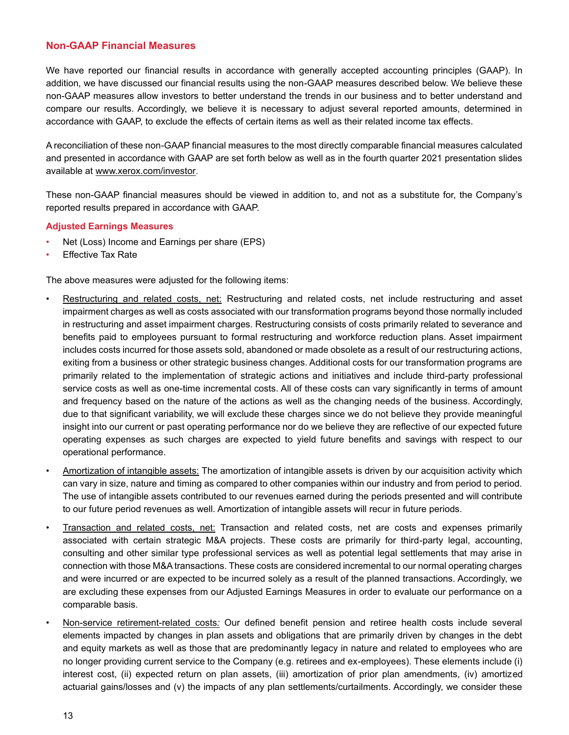## **Non-GAAP Financial Measures**

We have reported our financial results in accordance with generally accepted accounting principles (GAAP). In addition, we have discussed our financial results using the non-GAAP measures described below. We believe these non-GAAP measures allow investors to better understand the trends in our business and to better understand and compare our results. Accordingly, we believe it is necessary to adjust several reported amounts, determined in accordance with GAAP, to exclude the effects of certain items as well as their related income tax effects.

A reconciliation of these non-GAAP financial measures to the most directly comparable financial measures calculated and presented in accordance with GAAP are set forth below as well as in the fourth quarter 2021 presentation slides available at www.xerox.com/investor.

These non-GAAP financial measures should be viewed in addition to, and not as a substitute for, the Company's reported results prepared in accordance with GAAP.

#### **Adjusted Earnings Measures**

- Net (Loss) Income and Earnings per share (EPS)
- **Effective Tax Rate**

The above measures were adjusted for the following items:

- Restructuring and related costs, net: Restructuring and related costs, net include restructuring and asset impairment charges as well as costs associated with our transformation programs beyond those normally included in restructuring and asset impairment charges. Restructuring consists of costs primarily related to severance and benefits paid to employees pursuant to formal restructuring and workforce reduction plans. Asset impairment includes costs incurred for those assets sold, abandoned or made obsolete as a result of our restructuring actions, exiting from a business or other strategic business changes. Additional costs for our transformation programs are primarily related to the implementation of strategic actions and initiatives and include third-party professional service costs as well as one-time incremental costs. All of these costs can vary significantly in terms of amount and frequency based on the nature of the actions as well as the changing needs of the business. Accordingly, due to that significant variability, we will exclude these charges since we do not believe they provide meaningful insight into our current or past operating performance nor do we believe they are reflective of our expected future operating expenses as such charges are expected to yield future benefits and savings with respect to our operational performance.
- Amortization of intangible assets: The amortization of intangible assets is driven by our acquisition activity which can vary in size, nature and timing as compared to other companies within our industry and from period to period. The use of intangible assets contributed to our revenues earned during the periods presented and will contribute to our future period revenues as well. Amortization of intangible assets will recur in future periods.
- Transaction and related costs, net: Transaction and related costs, net are costs and expenses primarily associated with certain strategic M&A projects. These costs are primarily for third-party legal, accounting, consulting and other similar type professional services as well as potential legal settlements that may arise in connection with those M&A transactions. These costs are considered incremental to our normal operating charges and were incurred or are expected to be incurred solely as a result of the planned transactions. Accordingly, we are excluding these expenses from our Adjusted Earnings Measures in order to evaluate our performance on a comparable basis.
- Non-service retirement-related costs*:* Our defined benefit pension and retiree health costs include several elements impacted by changes in plan assets and obligations that are primarily driven by changes in the debt and equity markets as well as those that are predominantly legacy in nature and related to employees who are no longer providing current service to the Company (e.g. retirees and ex-employees). These elements include (i) interest cost, (ii) expected return on plan assets, (iii) amortization of prior plan amendments, (iv) amortized actuarial gains/losses and (v) the impacts of any plan settlements/curtailments. Accordingly, we consider these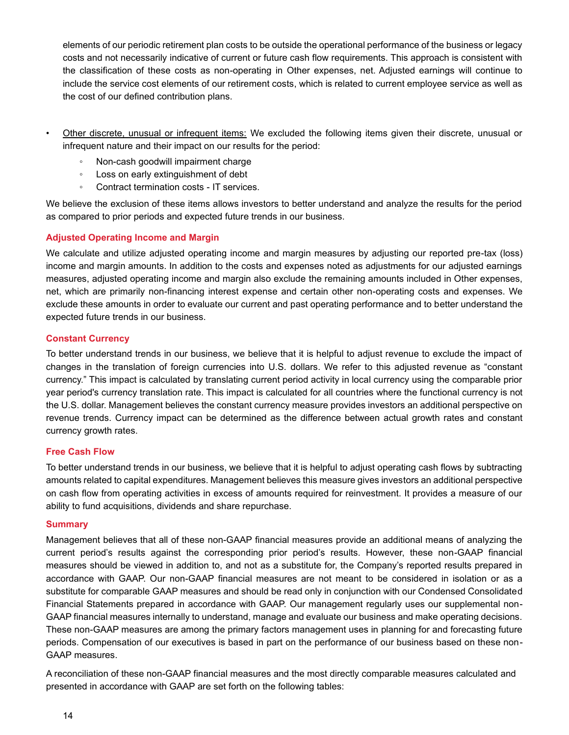elements of our periodic retirement plan costs to be outside the operational performance of the business or legacy costs and not necessarily indicative of current or future cash flow requirements. This approach is consistent with the classification of these costs as non-operating in Other expenses, net. Adjusted earnings will continue to include the service cost elements of our retirement costs, which is related to current employee service as well as the cost of our defined contribution plans.

- Other discrete, unusual or infrequent items: We excluded the following items given their discrete, unusual or infrequent nature and their impact on our results for the period:
	- Non-cash goodwill impairment charge
	- Loss on early extinguishment of debt
	- Contract termination costs IT services.

We believe the exclusion of these items allows investors to better understand and analyze the results for the period as compared to prior periods and expected future trends in our business.

## **Adjusted Operating Income and Margin**

We calculate and utilize adjusted operating income and margin measures by adjusting our reported pre-tax (loss) income and margin amounts. In addition to the costs and expenses noted as adjustments for our adjusted earnings measures, adjusted operating income and margin also exclude the remaining amounts included in Other expenses, net, which are primarily non-financing interest expense and certain other non-operating costs and expenses. We exclude these amounts in order to evaluate our current and past operating performance and to better understand the expected future trends in our business.

### **Constant Currency**

To better understand trends in our business, we believe that it is helpful to adjust revenue to exclude the impact of changes in the translation of foreign currencies into U.S. dollars. We refer to this adjusted revenue as "constant currency." This impact is calculated by translating current period activity in local currency using the comparable prior year period's currency translation rate. This impact is calculated for all countries where the functional currency is not the U.S. dollar. Management believes the constant currency measure provides investors an additional perspective on revenue trends. Currency impact can be determined as the difference between actual growth rates and constant currency growth rates.

#### **Free Cash Flow**

To better understand trends in our business, we believe that it is helpful to adjust operating cash flows by subtracting amounts related to capital expenditures. Management believes this measure gives investors an additional perspective on cash flow from operating activities in excess of amounts required for reinvestment. It provides a measure of our ability to fund acquisitions, dividends and share repurchase.

#### **Summary**

Management believes that all of these non-GAAP financial measures provide an additional means of analyzing the current period's results against the corresponding prior period's results. However, these non-GAAP financial measures should be viewed in addition to, and not as a substitute for, the Company's reported results prepared in accordance with GAAP. Our non-GAAP financial measures are not meant to be considered in isolation or as a substitute for comparable GAAP measures and should be read only in conjunction with our Condensed Consolidated Financial Statements prepared in accordance with GAAP. Our management regularly uses our supplemental non-GAAP financial measures internally to understand, manage and evaluate our business and make operating decisions. These non-GAAP measures are among the primary factors management uses in planning for and forecasting future periods. Compensation of our executives is based in part on the performance of our business based on these non-GAAP measures.

A reconciliation of these non-GAAP financial measures and the most directly comparable measures calculated and presented in accordance with GAAP are set forth on the following tables: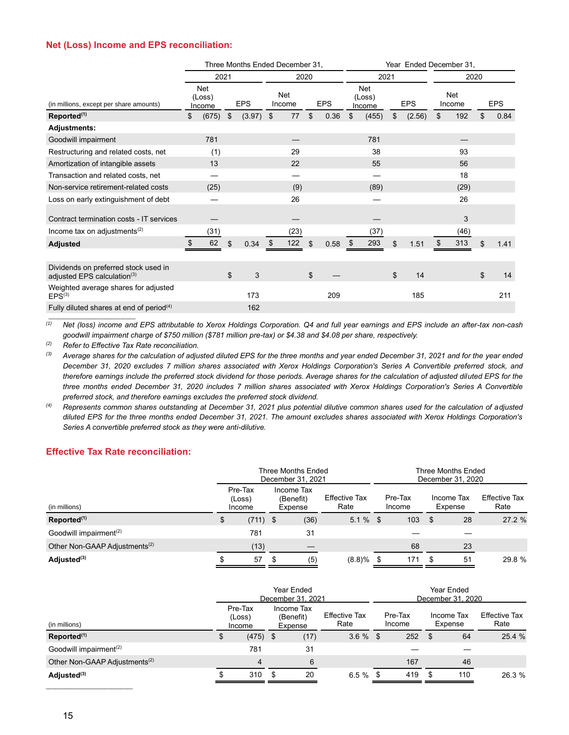#### **Net (Loss) Income and EPS reconciliation:**

|                                                                                 |                         | Three Months Ended December 31, |                      |      |                |            | Year Ended December 31, |                         |    |            |    |                      |                |            |
|---------------------------------------------------------------------------------|-------------------------|---------------------------------|----------------------|------|----------------|------------|-------------------------|-------------------------|----|------------|----|----------------------|----------------|------------|
|                                                                                 | 2021                    |                                 |                      | 2020 |                |            |                         | 2021                    |    |            |    |                      |                |            |
| (in millions, except per share amounts)                                         | Net<br>(Loss)<br>Income | <b>EPS</b>                      | <b>Net</b><br>Income |      |                | <b>EPS</b> |                         | Net<br>(Loss)<br>Income |    | <b>EPS</b> |    | <b>Net</b><br>Income |                | <b>EPS</b> |
| Reported <sup>(1)</sup>                                                         | \$<br>(675)             | \$<br>(3.97)                    | \$                   | 77   | \$             | 0.36       | \$                      | (455)                   | \$ | (2.56)     | \$ | 192                  | \$             | 0.84       |
| <b>Adjustments:</b>                                                             |                         |                                 |                      |      |                |            |                         |                         |    |            |    |                      |                |            |
| Goodwill impairment                                                             | 781                     |                                 |                      |      |                |            |                         | 781                     |    |            |    |                      |                |            |
| Restructuring and related costs, net                                            | (1)                     |                                 |                      | 29   |                |            |                         | 38                      |    |            |    | 93                   |                |            |
| Amortization of intangible assets                                               | 13                      |                                 |                      | 22   |                |            |                         | 55                      |    |            |    | 56                   |                |            |
| Transaction and related costs, net                                              |                         |                                 |                      |      |                |            |                         |                         |    |            |    | 18                   |                |            |
| Non-service retirement-related costs                                            | (25)                    |                                 |                      | (9)  |                |            |                         | (89)                    |    |            |    | (29)                 |                |            |
| Loss on early extinguishment of debt                                            |                         |                                 |                      | 26   |                |            |                         |                         |    |            |    | 26                   |                |            |
| Contract termination costs - IT services                                        |                         |                                 |                      |      |                |            |                         |                         |    |            |    | 3                    |                |            |
| Income tax on adjustments $(2)$                                                 | (31)                    |                                 |                      | (23) |                |            |                         | (37)                    |    |            |    | (46)                 |                |            |
| Adjusted                                                                        | 62                      | \$<br>0.34                      |                      | 122  | \$             | 0.58       | \$                      | 293                     | \$ | 1.51       |    | 313                  | $\mathfrak{L}$ | 1.41       |
| Dividends on preferred stock used in<br>adjusted EPS calculation <sup>(3)</sup> |                         | \$<br>3                         |                      |      | $\mathfrak{S}$ |            |                         |                         | \$ | 14         |    |                      | \$             | 14         |
| Weighted average shares for adjusted<br>EPS <sup>(3)</sup>                      |                         | 173                             |                      |      |                | 209        |                         |                         |    | 185        |    |                      |                | 211        |
| Fully diluted shares at end of period $(4)$                                     |                         | 162                             |                      |      |                |            |                         |                         |    |            |    |                      |                |            |

*(1) Net (loss) income and EPS attributable to Xerox Holdings Corporation. Q4 and full year earnings and EPS include an after-tax non-cash goodwill impairment charge of \$750 million (\$781 million pre-tax) or \$4.38 and \$4.08 per share, respectively.* 

*(2) Refer to Effective Tax Rate reconciliation.*

\_\_\_\_\_\_\_\_\_\_\_\_\_\_\_\_\_\_\_\_\_\_\_\_\_\_\_\_

*(3) Average shares for the calculation of adjusted diluted EPS for the three months and year ended December 31, 2021 and for the year ended December 31, 2020 excludes 7 million shares associated with Xerox Holdings Corporation's Series A Convertible preferred stock, and therefore earnings include the preferred stock dividend for those periods. Average shares for the calculation of adjusted diluted EPS for the three months ended December 31, 2020 includes 7 million shares associated with Xerox Holdings Corporation's Series A Convertible preferred stock, and therefore earnings excludes the preferred stock dividend.* 

*(4) Represents common shares outstanding at December 31, 2021 plus potential dilutive common shares used for the calculation of adjusted diluted EPS for the three months ended December 31, 2021. The amount excludes shares associated with Xerox Holdings Corporation's Series A convertible preferred stock as they were anti-dilutive.* 

#### **Effective Tax Rate reconciliation:**

|                                           |                             |       |  | <b>Three Months Ended</b><br>December 31, 2021 |                              | Three Months Ended<br>December 31, 2020 |                   |                       |    |                              |  |
|-------------------------------------------|-----------------------------|-------|--|------------------------------------------------|------------------------------|-----------------------------------------|-------------------|-----------------------|----|------------------------------|--|
| (in millions)                             | Pre-Tax<br>(Loss)<br>Income |       |  | Income Tax<br>(Benefit)<br>Expense             | <b>Effective Tax</b><br>Rate |                                         | Pre-Tax<br>Income | Income Tax<br>Expense |    | <b>Effective Tax</b><br>Rate |  |
| Reported <sup>(1)</sup>                   | \$                          | (711) |  | (36)                                           | $5.1 \%$ \$                  |                                         | 103               | - \$                  | 28 | 27.2 %                       |  |
| Goodwill impairment <sup>(2)</sup>        |                             | 781   |  | 31                                             |                              |                                         |                   |                       |    |                              |  |
| Other Non-GAAP Adjustments <sup>(2)</sup> |                             | (13)  |  |                                                |                              |                                         | 68                |                       | 23 |                              |  |
| Adjusted <sup>(3)</sup>                   |                             | 57    |  | (5)                                            | (8.8)%                       | - \$                                    | 171               | S                     | 51 | 29.8 %                       |  |

|                                           |                             |       |    | Year Ended<br>December 31, 2021    |                              | Year Ended<br>December 31, 2020 |     |                       |     |                              |  |  |
|-------------------------------------------|-----------------------------|-------|----|------------------------------------|------------------------------|---------------------------------|-----|-----------------------|-----|------------------------------|--|--|
| (in millions)                             | Pre-Tax<br>(Loss)<br>Income |       |    | Income Tax<br>(Benefit)<br>Expense | <b>Effective Tax</b><br>Rate | Pre-Tax<br>Income               |     | Income Tax<br>Expense |     | <b>Effective Tax</b><br>Rate |  |  |
| Reported <sup>(1)</sup>                   | \$                          | (475) | \$ | (17)                               | $3.6 \%$ \$                  |                                 | 252 | - \$                  | 64  | 25.4 %                       |  |  |
| Goodwill impairment <sup>(2)</sup>        |                             | 781   |    | 31                                 |                              |                                 |     |                       |     |                              |  |  |
| Other Non-GAAP Adjustments <sup>(2)</sup> |                             | 4     |    | 6                                  |                              |                                 | 167 |                       | 46  |                              |  |  |
| Adjusted <sup>(3)</sup>                   |                             | 310   | £. | 20                                 | 6.5%                         | - \$                            | 419 | \$.                   | 110 | 26.3 %                       |  |  |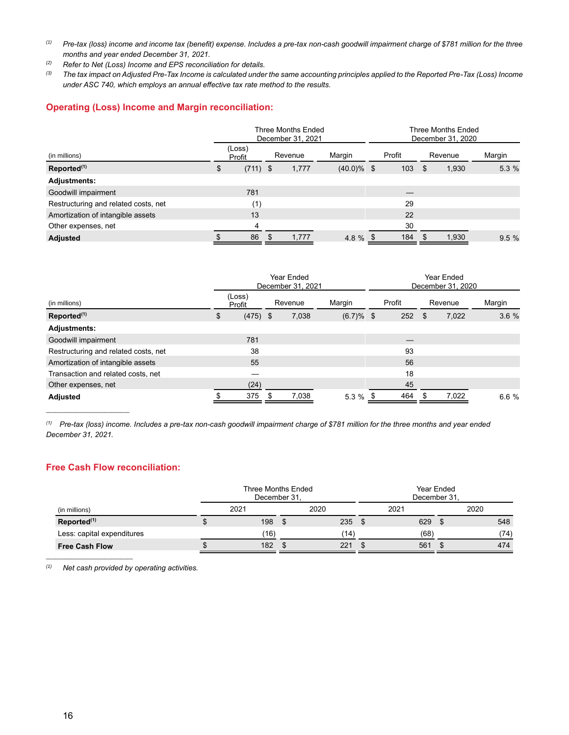- *(1) Pre-tax (loss) income and income tax (benefit) expense. Includes a pre-tax non-cash goodwill impairment charge of \$781 million for the three months and year ended December 31, 2021.*
- *(2) Refer to Net (Loss) Income and EPS reconciliation for details.*
- *(3) The tax impact on Adjusted Pre-Tax Income is calculated under the same accounting principles applied to the Reported Pre-Tax (Loss) Income under ASC 740, which employs an annual effective tax rate method to the results.*

#### **Operating (Loss) Income and Margin reconciliation:**

|                                      |    |                  |     | Three Months Ended<br>December 31, 2021 |               |        | <b>Three Months Ended</b><br>December 31, 2020 |         |       |        |  |  |
|--------------------------------------|----|------------------|-----|-----------------------------------------|---------------|--------|------------------------------------------------|---------|-------|--------|--|--|
| (in millions)                        |    | (Loss)<br>Profit |     | Revenue                                 | Margin        | Profit |                                                | Revenue |       | Margin |  |  |
| Reported <sup>(1)</sup>              | \$ | $(711)$ \$       |     | 1,777                                   | $(40.0)\%$ \$ |        | 103                                            | - \$    | 1,930 | 5.3 %  |  |  |
| <b>Adjustments:</b>                  |    |                  |     |                                         |               |        |                                                |         |       |        |  |  |
| Goodwill impairment                  |    | 781              |     |                                         |               |        |                                                |         |       |        |  |  |
| Restructuring and related costs, net |    | 〔1〕              |     |                                         |               |        | 29                                             |         |       |        |  |  |
| Amortization of intangible assets    |    | 13               |     |                                         |               |        | 22                                             |         |       |        |  |  |
| Other expenses, net                  |    | 4                |     |                                         |               |        | 30                                             |         |       |        |  |  |
| <b>Adjusted</b>                      |    | 86               | \$. | 1.777                                   | 4.8 %         | - \$   | 184                                            |         | 1,930 | 9.5%   |  |  |

|                                      | Year Ended<br>December 31, 2021 |                  |  |         |               |        | Year Ended<br>December 31, 2020 |         |       |        |  |
|--------------------------------------|---------------------------------|------------------|--|---------|---------------|--------|---------------------------------|---------|-------|--------|--|
| (in millions)                        |                                 | (Loss)<br>Profit |  | Revenue | Margin        | Profit |                                 | Revenue |       | Margin |  |
| Reported <sup>(1)</sup>              | \$                              | $(475)$ \$       |  | 7,038   | $(6.7) \%$ \$ |        | 252                             | -\$     | 7,022 | 3.6%   |  |
| <b>Adjustments:</b>                  |                                 |                  |  |         |               |        |                                 |         |       |        |  |
| Goodwill impairment                  |                                 | 781              |  |         |               |        |                                 |         |       |        |  |
| Restructuring and related costs, net |                                 | 38               |  |         |               |        | 93                              |         |       |        |  |
| Amortization of intangible assets    |                                 | 55               |  |         |               |        | 56                              |         |       |        |  |
| Transaction and related costs, net   |                                 |                  |  |         |               |        | 18                              |         |       |        |  |
| Other expenses, net                  |                                 | (24)             |  |         |               |        | 45                              |         |       |        |  |
| Adjusted                             |                                 | 375              |  | 7,038   | 5.3 %         |        | 464                             |         | 7.022 | 6.6 %  |  |

*(1) Pre-tax (loss) income. Includes a pre-tax non-cash goodwill impairment charge of \$781 million for the three months and year ended December 31, 2021.*

#### **Free Cash Flow reconciliation:**

 $\mathcal{L}_\text{max}$  and  $\mathcal{L}_\text{max}$  and  $\mathcal{L}_\text{max}$  and  $\mathcal{L}_\text{max}$ 

\_\_\_\_\_\_\_\_\_\_\_\_\_\_\_\_\_\_\_\_\_\_\_\_\_\_\_\_

|                            | Three Months Ended<br>December 31. |      | Year Ended<br>December 31. |    |      |      |      |  |  |
|----------------------------|------------------------------------|------|----------------------------|----|------|------|------|--|--|
| (in millions)              | 2020<br>2021                       |      |                            |    | 2021 | 2020 |      |  |  |
| Reported <sup>(1)</sup>    | 198                                | - \$ | 235                        | \$ | 629  |      | 548  |  |  |
| Less: capital expenditures | (16)                               |      | (14)                       |    | (68) |      | (74) |  |  |
| <b>Free Cash Flow</b>      | 182                                |      | 221                        |    | 561  |      | 474  |  |  |

*(1) Net cash provided by operating activities.*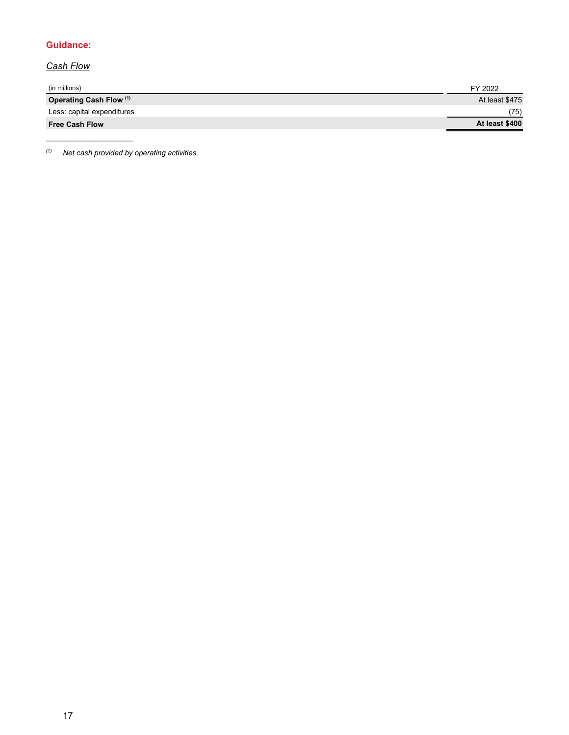#### **Guidance:**

## *Cash Flow*

| (in millions)              | FY 2022        |
|----------------------------|----------------|
| Operating Cash Flow (1)    | At least \$475 |
| Less: capital expenditures | (75)           |
| <b>Free Cash Flow</b>      | At least \$400 |
|                            |                |

*(1) Net cash provided by operating activities.*

\_\_\_\_\_\_\_\_\_\_\_\_\_\_\_\_\_\_\_\_\_\_\_\_\_\_\_\_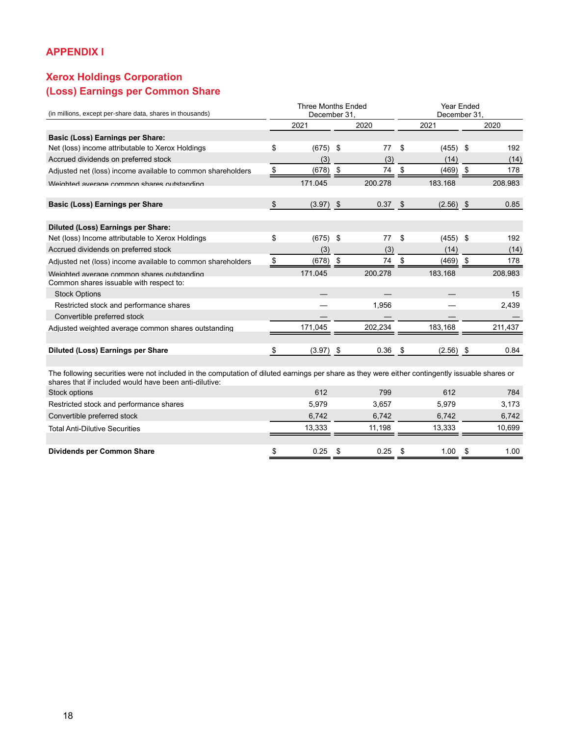## **APPENDIX I**

## **Xerox Holdings Corporation (Loss) Earnings per Common Share**

| (in millions, except per-share data, shares in thousands)                                                                                       | <b>Three Months Ended</b><br>December 31, |    |           |    | <b>Year Ended</b><br>December 31, |      |         |  |
|-------------------------------------------------------------------------------------------------------------------------------------------------|-------------------------------------------|----|-----------|----|-----------------------------------|------|---------|--|
|                                                                                                                                                 | 2021                                      |    | 2020      |    | 2021                              |      | 2020    |  |
| <b>Basic (Loss) Earnings per Share:</b>                                                                                                         |                                           |    |           |    |                                   |      |         |  |
| Net (loss) income attributable to Xerox Holdings                                                                                                | \$<br>$(675)$ \$                          |    | 77        | \$ | $(455)$ \$                        |      | 192     |  |
| Accrued dividends on preferred stock                                                                                                            | (3)                                       |    | (3)       |    | (14)                              |      | (14)    |  |
| Adjusted net (loss) income available to common shareholders                                                                                     | \$<br>(678)                               | \$ | 74        | \$ | (469)                             | - \$ | 178     |  |
| Weighted average common shares outstanding                                                                                                      | 171.045                                   |    | 200.278   |    | 183.168                           |      | 208.983 |  |
| <b>Basic (Loss) Earnings per Share</b>                                                                                                          | \$<br>$(3.97)$ \$                         |    | $0.37$ \$ |    | $(2.56)$ \$                       |      | 0.85    |  |
| Diluted (Loss) Earnings per Share:                                                                                                              |                                           |    |           |    |                                   |      |         |  |
| Net (loss) Income attributable to Xerox Holdings                                                                                                | \$<br>$(675)$ \$                          |    | 77        | \$ | $(455)$ \$                        |      | 192     |  |
| Accrued dividends on preferred stock                                                                                                            | (3)                                       |    | (3)       |    | (14)                              |      | (14)    |  |
| Adjusted net (loss) income available to common shareholders                                                                                     | (678)                                     | \$ | 74        |    | (469)                             | \$   | 178     |  |
| Weighted average common shares outstanding<br>Common shares issuable with respect to:                                                           | 171 045                                   |    | 200 278   |    | 183 168                           |      | 208 983 |  |
| <b>Stock Options</b>                                                                                                                            |                                           |    |           |    |                                   |      | 15      |  |
| Restricted stock and performance shares                                                                                                         |                                           |    | 1,956     |    |                                   |      | 2,439   |  |
| Convertible preferred stock                                                                                                                     |                                           |    |           |    |                                   |      |         |  |
| Adjusted weighted average common shares outstanding                                                                                             | 171,045                                   |    | 202,234   |    | 183,168                           |      | 211,437 |  |
| Diluted (Loss) Earnings per Share                                                                                                               | \$<br>$(3.97)$ \$                         |    | 0.36      | \$ | $(2.56)$ \$                       |      | 0.84    |  |
| The following securities were not included in the computation of diluted earnings per share as they were either contingently issuable shares or |                                           |    |           |    |                                   |      |         |  |

| shares that if included would have been anti-dilutive: |        |        |        |        |
|--------------------------------------------------------|--------|--------|--------|--------|
| Stock options                                          | 612    | 799    | 612    | 784    |
| Restricted stock and performance shares                | 5.979  | 3.657  | 5.979  | 3,173  |
| Convertible preferred stock                            | 6.742  | 6.742  | 6.742  | 6,742  |
| <b>Total Anti-Dilutive Securities</b>                  | 13.333 | 11.198 | 13.333 | 10.699 |
|                                                        |        |        |        |        |
| Dividends per Common Share                             | 0.25   | 0.25   | 1.00   | 1.00   |